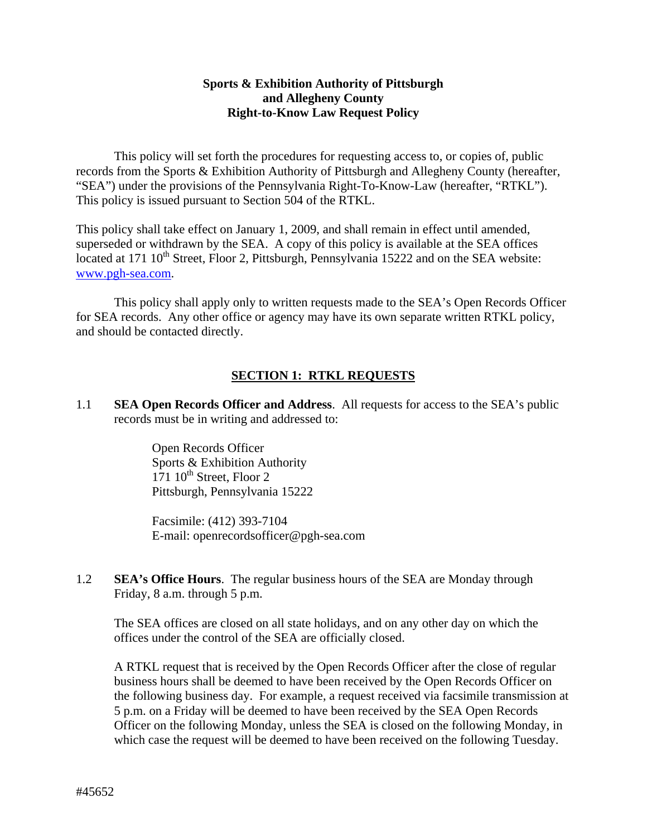## **Sports & Exhibition Authority of Pittsburgh and Allegheny County Right-to-Know Law Request Policy**

This policy will set forth the procedures for requesting access to, or copies of, public records from the Sports & Exhibition Authority of Pittsburgh and Allegheny County (hereafter, "SEA") under the provisions of the Pennsylvania Right-To-Know-Law (hereafter, "RTKL"). This policy is issued pursuant to Section 504 of the RTKL.

This policy shall take effect on January 1, 2009, and shall remain in effect until amended, superseded or withdrawn by the SEA. A copy of this policy is available at the SEA offices located at 171 10<sup>th</sup> Street, Floor 2, Pittsburgh, Pennsylvania 15222 and on the SEA website: [www.pgh-sea.com.](http://www.franklinparkborough.us/)

 This policy shall apply only to written requests made to the SEA's Open Records Officer for SEA records. Any other office or agency may have its own separate written RTKL policy, and should be contacted directly.

## **SECTION 1: RTKL REQUESTS**

1.1 **SEA Open Records Officer and Address**. All requests for access to the SEA's public records must be in writing and addressed to:

> Open Records Officer Sports & Exhibition Authority  $171 \cdot 10^{th}$  Street, Floor 2 Pittsburgh, Pennsylvania 15222

Facsimile: (412) 393-7104 E-mail: openrecordsofficer@pgh-sea.com

1.2 **SEA's Office Hours**. The regular business hours of the SEA are Monday through Friday, 8 a.m. through 5 p.m.

The SEA offices are closed on all state holidays, and on any other day on which the offices under the control of the SEA are officially closed.

A RTKL request that is received by the Open Records Officer after the close of regular business hours shall be deemed to have been received by the Open Records Officer on the following business day. For example, a request received via facsimile transmission at 5 p.m. on a Friday will be deemed to have been received by the SEA Open Records Officer on the following Monday, unless the SEA is closed on the following Monday, in which case the request will be deemed to have been received on the following Tuesday.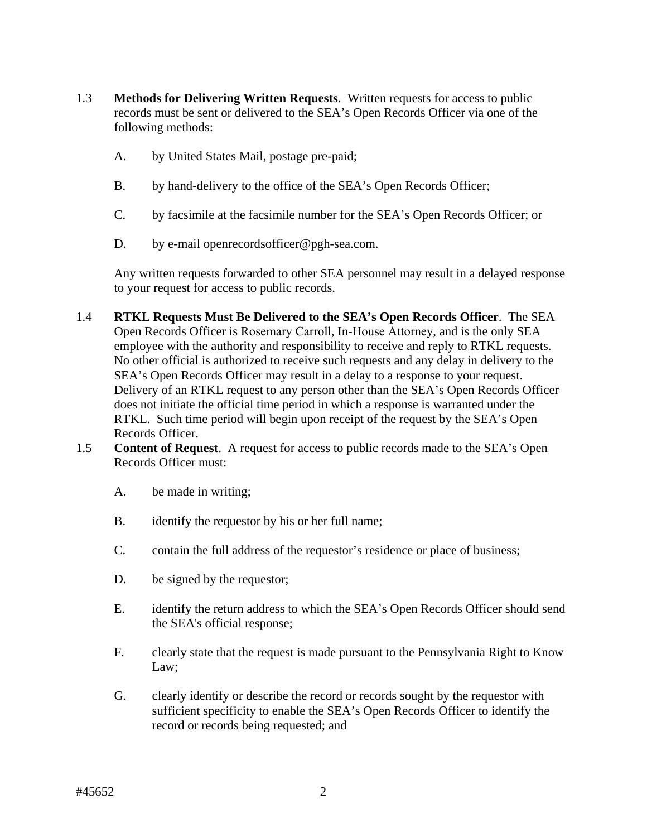- 1.3 **Methods for Delivering Written Requests**. Written requests for access to public records must be sent or delivered to the SEA's Open Records Officer via one of the following methods:
	- A. by United States Mail, postage pre-paid;
	- B. by hand-delivery to the office of the SEA's Open Records Officer;
	- C. by facsimile at the facsimile number for the SEA's Open Records Officer; or
	- D. by e-mail openrecordsofficer@pgh-sea.com.

Any written requests forwarded to other SEA personnel may result in a delayed response to your request for access to public records.

- 1.4 **RTKL Requests Must Be Delivered to the SEA's Open Records Officer**. The SEA Open Records Officer is Rosemary Carroll, In-House Attorney, and is the only SEA employee with the authority and responsibility to receive and reply to RTKL requests. No other official is authorized to receive such requests and any delay in delivery to the SEA's Open Records Officer may result in a delay to a response to your request. Delivery of an RTKL request to any person other than the SEA's Open Records Officer does not initiate the official time period in which a response is warranted under the RTKL. Such time period will begin upon receipt of the request by the SEA's Open Records Officer.
- 1.5 **Content of Request**. A request for access to public records made to the SEA's Open Records Officer must:
	- A. be made in writing;
	- B. identify the requestor by his or her full name;
	- C. contain the full address of the requestor's residence or place of business;
	- D. be signed by the requestor;
	- E. identify the return address to which the SEA's Open Records Officer should send the SEA's official response;
	- F. clearly state that the request is made pursuant to the Pennsylvania Right to Know Law;
	- G. clearly identify or describe the record or records sought by the requestor with sufficient specificity to enable the SEA's Open Records Officer to identify the record or records being requested; and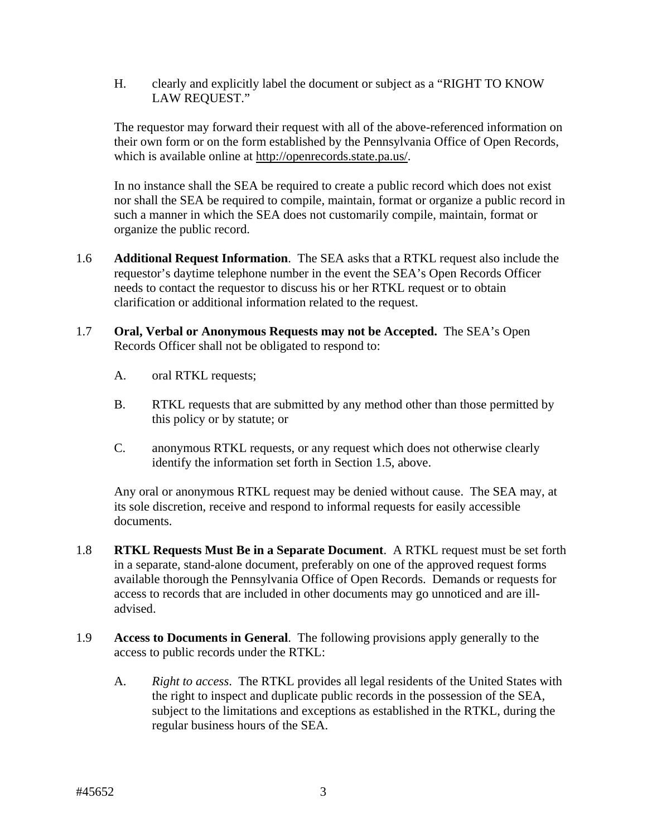H. clearly and explicitly label the document or subject as a "RIGHT TO KNOW LAW REQUEST."

The requestor may forward their request with all of the above-referenced information on their own form or on the form established by the Pennsylvania Office of Open Records, which is available online at http://openrecords.state.pa.us/.

In no instance shall the SEA be required to create a public record which does not exist nor shall the SEA be required to compile, maintain, format or organize a public record in such a manner in which the SEA does not customarily compile, maintain, format or organize the public record.

- 1.6 **Additional Request Information**. The SEA asks that a RTKL request also include the requestor's daytime telephone number in the event the SEA's Open Records Officer needs to contact the requestor to discuss his or her RTKL request or to obtain clarification or additional information related to the request.
- 1.7 **Oral, Verbal or Anonymous Requests may not be Accepted.** The SEA's Open Records Officer shall not be obligated to respond to:
	- A. oral RTKL requests;
	- B. RTKL requests that are submitted by any method other than those permitted by this policy or by statute; or
	- C. anonymous RTKL requests, or any request which does not otherwise clearly identify the information set forth in Section 1.5, above.

Any oral or anonymous RTKL request may be denied without cause. The SEA may, at its sole discretion, receive and respond to informal requests for easily accessible documents.

- 1.8 **RTKL Requests Must Be in a Separate Document**. A RTKL request must be set forth in a separate, stand-alone document, preferably on one of the approved request forms available thorough the Pennsylvania Office of Open Records. Demands or requests for access to records that are included in other documents may go unnoticed and are illadvised.
- 1.9 **Access to Documents in General**. The following provisions apply generally to the access to public records under the RTKL:
	- A. *Right to access*. The RTKL provides all legal residents of the United States with the right to inspect and duplicate public records in the possession of the SEA, subject to the limitations and exceptions as established in the RTKL, during the regular business hours of the SEA.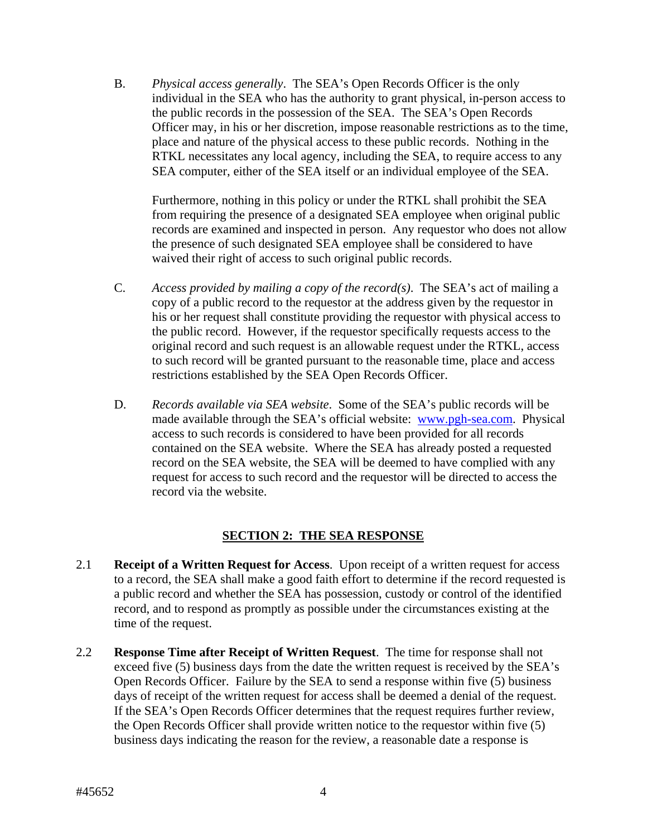B. *Physical access generally*. The SEA's Open Records Officer is the only individual in the SEA who has the authority to grant physical, in-person access to the public records in the possession of the SEA. The SEA's Open Records Officer may, in his or her discretion, impose reasonable restrictions as to the time, place and nature of the physical access to these public records. Nothing in the RTKL necessitates any local agency, including the SEA, to require access to any SEA computer, either of the SEA itself or an individual employee of the SEA.

Furthermore, nothing in this policy or under the RTKL shall prohibit the SEA from requiring the presence of a designated SEA employee when original public records are examined and inspected in person. Any requestor who does not allow the presence of such designated SEA employee shall be considered to have waived their right of access to such original public records.

- C. *Access provided by mailing a copy of the record(s)*. The SEA's act of mailing a copy of a public record to the requestor at the address given by the requestor in his or her request shall constitute providing the requestor with physical access to the public record. However, if the requestor specifically requests access to the original record and such request is an allowable request under the RTKL, access to such record will be granted pursuant to the reasonable time, place and access restrictions established by the SEA Open Records Officer.
- D. *Records available via SEA website*. Some of the SEA's public records will be made available through the SEA's official website: [www.pgh-sea.com](http://www.franklinparkborough.us/). Physical access to such records is considered to have been provided for all records contained on the SEA website. Where the SEA has already posted a requested record on the SEA website, the SEA will be deemed to have complied with any request for access to such record and the requestor will be directed to access the record via the website.

## **SECTION 2: THE SEA RESPONSE**

- 2.1 **Receipt of a Written Request for Access**. Upon receipt of a written request for access to a record, the SEA shall make a good faith effort to determine if the record requested is a public record and whether the SEA has possession, custody or control of the identified record, and to respond as promptly as possible under the circumstances existing at the time of the request.
- 2.2 **Response Time after Receipt of Written Request**. The time for response shall not exceed five (5) business days from the date the written request is received by the SEA's Open Records Officer. Failure by the SEA to send a response within five (5) business days of receipt of the written request for access shall be deemed a denial of the request. If the SEA's Open Records Officer determines that the request requires further review, the Open Records Officer shall provide written notice to the requestor within five (5) business days indicating the reason for the review, a reasonable date a response is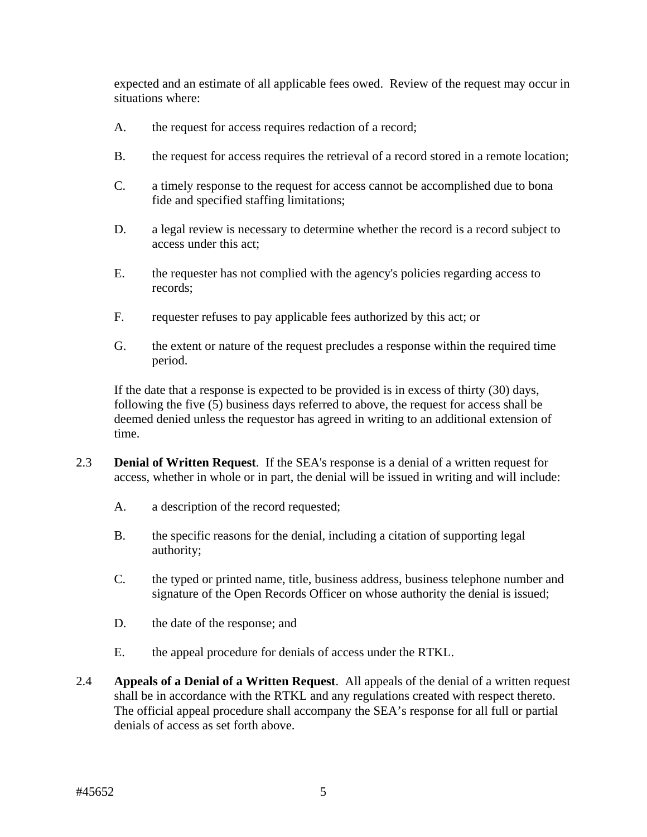expected and an estimate of all applicable fees owed. Review of the request may occur in situations where:

- A. the request for access requires redaction of a record;
- B. the request for access requires the retrieval of a record stored in a remote location;
- C. a timely response to the request for access cannot be accomplished due to bona fide and specified staffing limitations;
- D. a legal review is necessary to determine whether the record is a record subject to access under this act;
- E. the requester has not complied with the agency's policies regarding access to records;
- F. requester refuses to pay applicable fees authorized by this act; or
- G. the extent or nature of the request precludes a response within the required time period.

If the date that a response is expected to be provided is in excess of thirty (30) days, following the five (5) business days referred to above, the request for access shall be deemed denied unless the requestor has agreed in writing to an additional extension of time.

- 2.3 **Denial of Written Request**. If the SEA's response is a denial of a written request for access, whether in whole or in part, the denial will be issued in writing and will include:
	- A. a description of the record requested;
	- B. the specific reasons for the denial, including a citation of supporting legal authority;
	- C. the typed or printed name, title, business address, business telephone number and signature of the Open Records Officer on whose authority the denial is issued;
	- D. the date of the response; and
	- E. the appeal procedure for denials of access under the RTKL.
- 2.4 **Appeals of a Denial of a Written Request**. All appeals of the denial of a written request shall be in accordance with the RTKL and any regulations created with respect thereto. The official appeal procedure shall accompany the SEA's response for all full or partial denials of access as set forth above.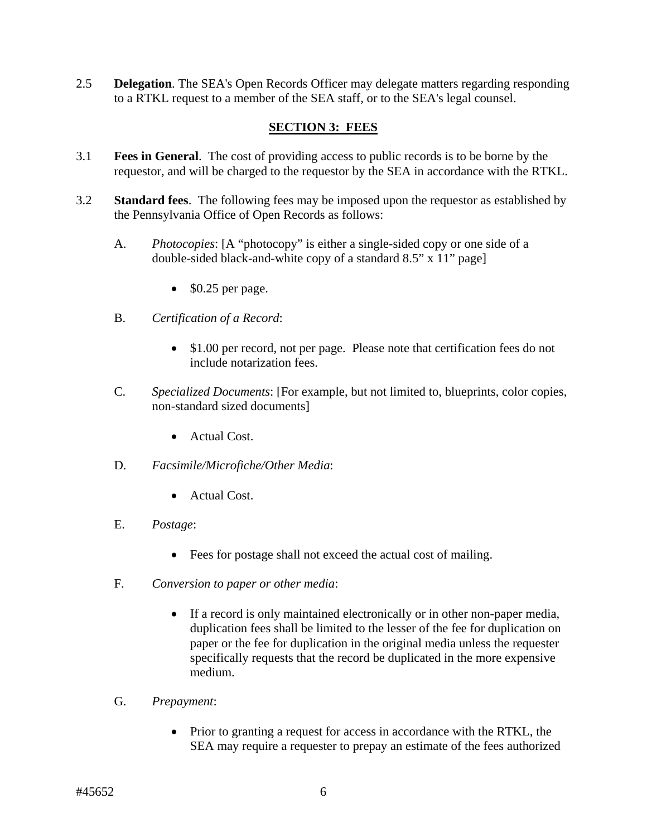2.5 **Delegation**. The SEA's Open Records Officer may delegate matters regarding responding to a RTKL request to a member of the SEA staff, or to the SEA's legal counsel.

## **SECTION 3: FEES**

- 3.1 **Fees in General**. The cost of providing access to public records is to be borne by the requestor, and will be charged to the requestor by the SEA in accordance with the RTKL.
- 3.2 **Standard fees**. The following fees may be imposed upon the requestor as established by the Pennsylvania Office of Open Records as follows:
	- A. *Photocopies*: [A "photocopy" is either a single-sided copy or one side of a double-sided black-and-white copy of a standard 8.5" x 11" page]
		- $\bullet$  \$0.25 per page.
	- B. *Certification of a Record*:
		- \$1.00 per record, not per page. Please note that certification fees do not include notarization fees.
	- C. *Specialized Documents*: [For example, but not limited to, blueprints, color copies, non-standard sized documents]
		- Actual Cost.
	- D. *Facsimile/Microfiche/Other Media*:
		- Actual Cost.
	- E. *Postage*:
		- Fees for postage shall not exceed the actual cost of mailing.
	- F. *Conversion to paper or other media*:
		- If a record is only maintained electronically or in other non-paper media, duplication fees shall be limited to the lesser of the fee for duplication on paper or the fee for duplication in the original media unless the requester specifically requests that the record be duplicated in the more expensive medium.
	- G. *Prepayment*:
		- Prior to granting a request for access in accordance with the RTKL, the SEA may require a requester to prepay an estimate of the fees authorized